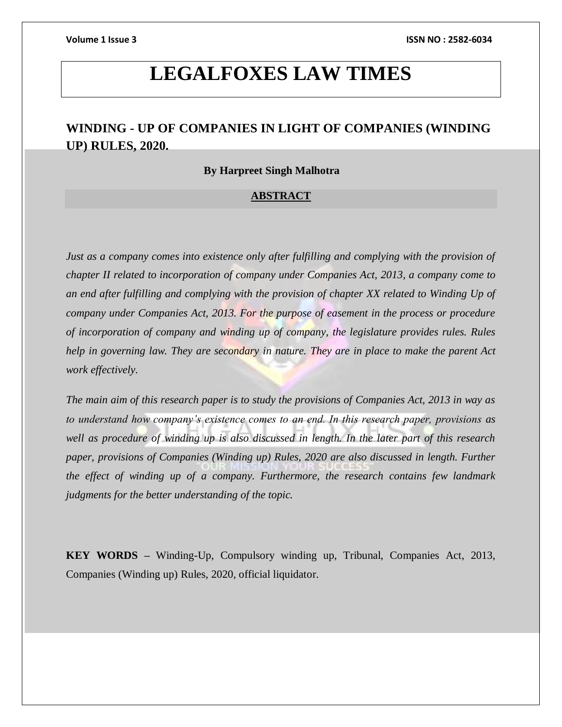# **LEGALFOXES LAW TIMES**

# **WINDING - UP OF COMPANIES IN LIGHT OF COMPANIES (WINDING UP) RULES, 2020.**

#### **By Harpreet Singh Malhotra**

#### **ABSTRACT**

*Just as a company comes into existence only after fulfilling and complying with the provision of chapter II related to incorporation of company under Companies Act, 2013, a company come to an end after fulfilling and complying with the provision of chapter XX related to Winding Up of company under Companies Act, 2013. For the purpose of easement in the process or procedure of incorporation of company and winding up of company, the legislature provides rules. Rules help in governing law. They are secondary in nature. They are in place to make the parent Act work effectively.*

*The main aim of this research paper is to study the provisions of Companies Act, 2013 in way as to understand how company's existence comes to an end. In this research paper, provisions as well as procedure of winding up is also discussed in length. In the later part of this research paper, provisions of Companies (Winding up) Rules, 2020 are also discussed in length. Further the effect of winding up of a company. Furthermore, the research contains few landmark judgments for the better understanding of the topic.*

**KEY WORDS –** Winding-Up, Compulsory winding up, Tribunal, Companies Act, 2013, Companies (Winding up) Rules, 2020, official liquidator.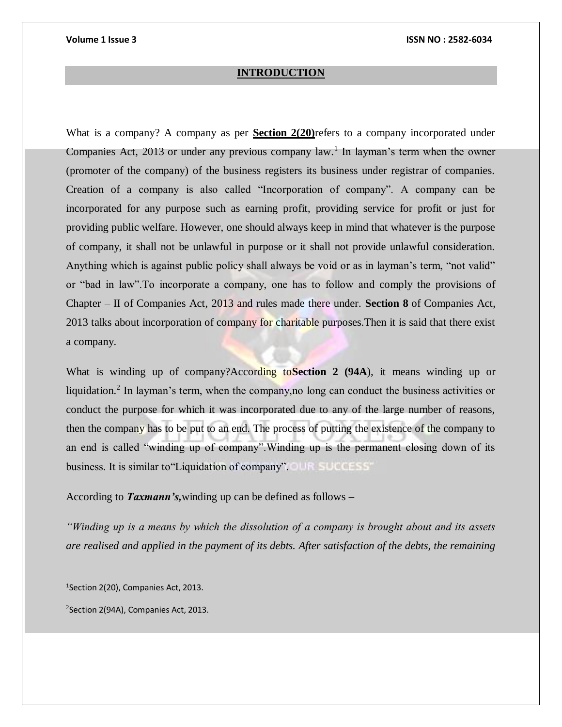#### **INTRODUCTION**

What is a company? A company as per **Section 2(20)**refers to a company incorporated under Companies Act, 2013 or under any previous company law.<sup>1</sup> In layman's term when the owner (promoter of the company) of the business registers its business under registrar of companies. Creation of a company is also called "Incorporation of company". A company can be incorporated for any purpose such as earning profit, providing service for profit or just for providing public welfare. However, one should always keep in mind that whatever is the purpose of company, it shall not be unlawful in purpose or it shall not provide unlawful consideration. Anything which is against public policy shall always be void or as in layman's term, "not valid" or "bad in law".To incorporate a company, one has to follow and comply the provisions of Chapter – II of Companies Act, 2013 and rules made there under. **Section 8** of Companies Act, 2013 talks about incorporation of company for charitable purposes.Then it is said that there exist a company.

What is winding up of company?According to**Section 2 (94A**), it means winding up or liquidation.<sup>2</sup> In layman's term, when the company, no long can conduct the business activities or conduct the purpose for which it was incorporated due to any of the large number of reasons, then the company has to be put to an end. The process of putting the existence of the company to an end is called "winding up of company".Winding up is the permanent closing down of its business. It is similar to 'Liquidation of company'.

According to *Taxmann's,*winding up can be defined as follows –

*"Winding up is a means by which the dissolution of a company is brought about and its assets are realised and applied in the payment of its debts. After satisfaction of the debts, the remaining* 

2 Section 2(94A), Companies Act, 2013.

<sup>1</sup> Section 2(20), Companies Act, 2013.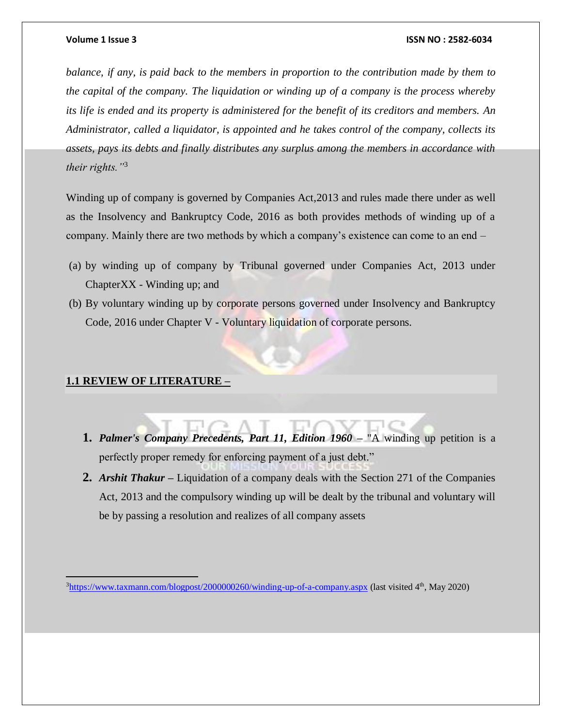*balance, if any, is paid back to the members in proportion to the contribution made by them to the capital of the company. The liquidation or winding up of a company is the process whereby its life is ended and its property is administered for the benefit of its creditors and members. An Administrator, called a liquidator, is appointed and he takes control of the company, collects its assets, pays its debts and finally distributes any surplus among the members in accordance with their rights."*<sup>3</sup>

Winding up of company is governed by Companies Act,2013 and rules made there under as well as the Insolvency and Bankruptcy Code, 2016 as both provides methods of winding up of a company. Mainly there are two methods by which a company's existence can come to an end –

- (a) by winding up of company by Tribunal governed under Companies Act, 2013 under ChapterXX - Winding up; and
- (b) By voluntary winding up by corporate persons governed under Insolvency and Bankruptcy Code, 2016 under Chapter V - Voluntary liquidation of corporate persons.

### **1.1 REVIEW OF LITERATURE –**

- **1.** *Palmer's Company Precedents, Part 11, Edition 1960 –* "A winding up petition is a perfectly proper remedy for enforcing payment of a just debt."
- **2.** *Arshit Thakur –* Liquidation of a company deals with the Section 271 of the Companies Act, 2013 and the compulsory winding up will be dealt by the tribunal and voluntary will be by passing a resolution and realizes of all company assets

 $3$ <https://www.taxmann.com/blogpost/2000000260/winding-up-of-a-company.aspx> (last visited  $4<sup>th</sup>$ , May 2020)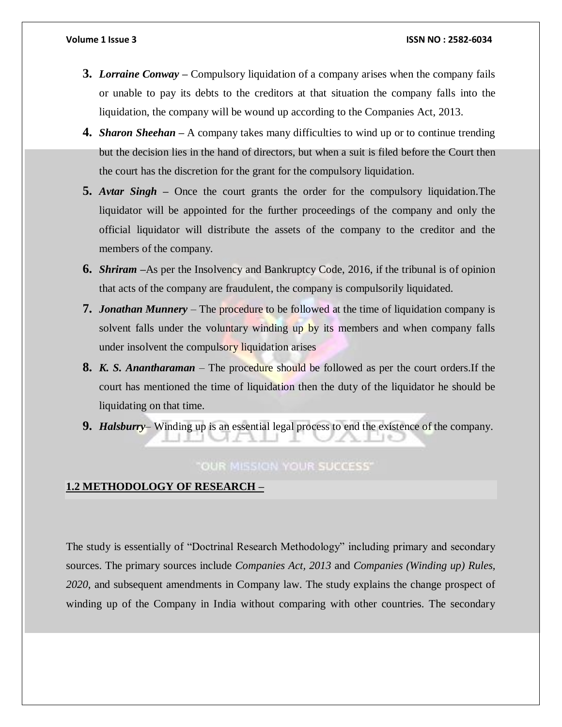- **3.** *Lorraine Conway –* Compulsory liquidation of a company arises when the company fails or unable to pay its debts to the creditors at that situation the company falls into the liquidation, the company will be wound up according to the Companies Act, 2013.
- **4.** *Sharon Sheehan –* A company takes many difficulties to wind up or to continue trending but the decision lies in the hand of directors, but when a suit is filed before the Court then the court has the discretion for the grant for the compulsory liquidation.
- **5.** *Avtar Singh –* Once the court grants the order for the compulsory liquidation.The liquidator will be appointed for the further proceedings of the company and only the official liquidator will distribute the assets of the company to the creditor and the members of the company.
- **6.** *Shriram –*As per the Insolvency and Bankruptcy Code, 2016, if the tribunal is of opinion that acts of the company are fraudulent, the company is compulsorily liquidated.
- **7.** *Jonathan Munnery* The procedure to be followed at the time of liquidation company is solvent falls under the voluntary winding up by its members and when company falls under insolvent the compulsory liquidation arises
- **8.** *K. S. Anantharaman* The procedure should be followed as per the court orders.If the court has mentioned the time of liquidation then the duty of the liquidator he should be liquidating on that time.
- **9.** *Halsburry* Winding up is an essential legal process to end the existence of the company.

# "OUR MISSION YOUR SUCCESS"

# **1.2 METHODOLOGY OF RESEARCH –**

The study is essentially of "Doctrinal Research Methodology" including primary and secondary sources. The primary sources include *Companies Act, 2013* and *Companies (Winding up) Rules, 2020*, and subsequent amendments in Company law. The study explains the change prospect of winding up of the Company in India without comparing with other countries. The secondary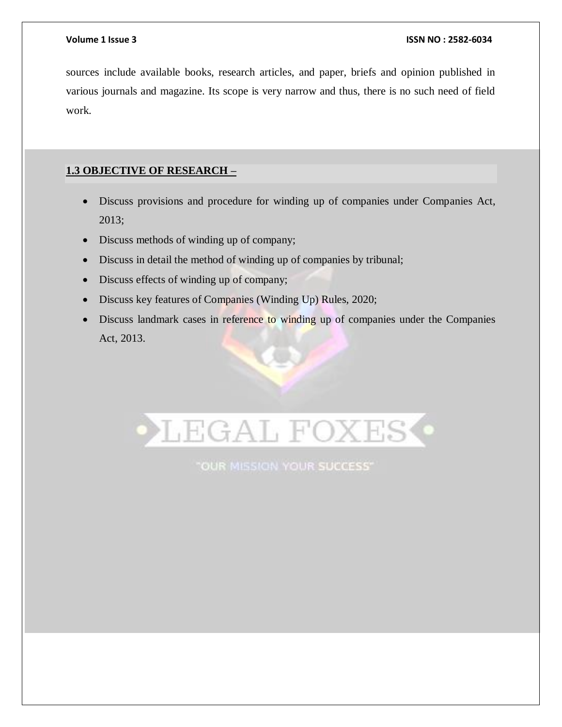sources include available books, research articles, and paper, briefs and opinion published in various journals and magazine. Its scope is very narrow and thus, there is no such need of field work.

# **1.3 OBJECTIVE OF RESEARCH –**

- Discuss provisions and procedure for winding up of companies under Companies Act, 2013;
- Discuss methods of winding up of company;
- Discuss in detail the method of winding up of companies by tribunal;
- Discuss effects of winding up of company;
- Discuss key features of Companies (Winding Up) Rules, 2020;
- Discuss landmark cases in reference to winding up of companies under the Companies Act, 2013.



"OUR MISSION YOUR SUCCESS"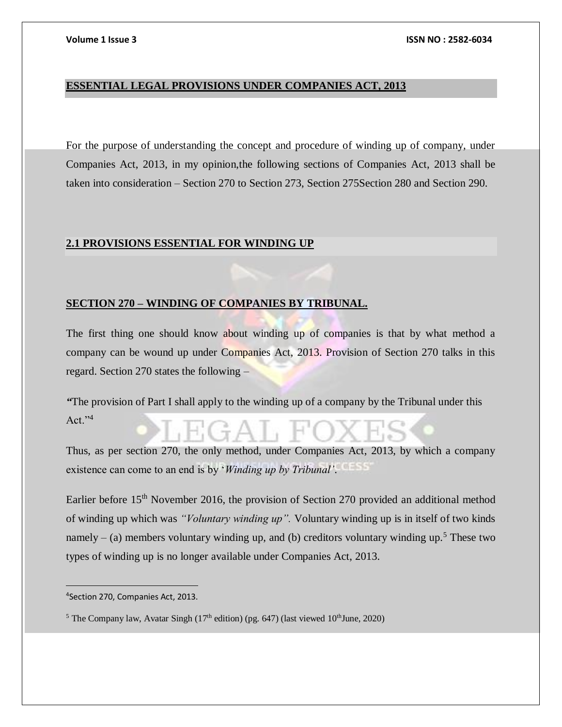### **ESSENTIAL LEGAL PROVISIONS UNDER COMPANIES ACT, 2013**

For the purpose of understanding the concept and procedure of winding up of company, under Companies Act, 2013, in my opinion,the following sections of Companies Act, 2013 shall be taken into consideration – Section 270 to Section 273, Section 275Section 280 and Section 290.

### **2.1 PROVISIONS ESSENTIAL FOR WINDING UP**

#### **SECTION 270 – WINDING OF COMPANIES BY TRIBUNAL.**

The first thing one should know about winding up of companies is that by what method a company can be wound up under Companies Act, 2013. Provision of Section 270 talks in this regard. Section 270 states the following –

*"*The provision of Part I shall apply to the winding up of a company by the Tribunal under this  $Act."4$ 

Thus, as per section 270, the only method, under Companies Act, 2013, by which a company existence can come to an end is by '*Winding up by Tribunal'*.

Earlier before 15<sup>th</sup> November 2016, the provision of Section 270 provided an additional method of winding up which was *"Voluntary winding up".* Voluntary winding up is in itself of two kinds namely – (a) members voluntary winding up, and (b) creditors voluntary winding up.<sup>5</sup> These two types of winding up is no longer available under Companies Act, 2013.

<sup>4</sup> Section 270, Companies Act, 2013.

<sup>&</sup>lt;sup>5</sup> The Company law, Avatar Singh (17<sup>th</sup> edition) (pg. 647) (last viewed  $10<sup>th</sup>$ June, 2020)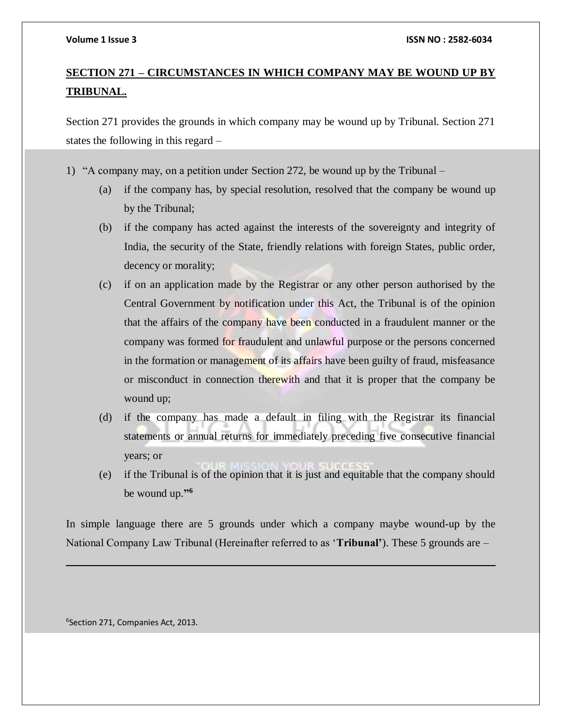# **SECTION 271 – CIRCUMSTANCES IN WHICH COMPANY MAY BE WOUND UP BY TRIBUNAL.**

Section 271 provides the grounds in which company may be wound up by Tribunal. Section 271 states the following in this regard –

- 1) "A company may, on a petition under Section 272, be wound up by the Tribunal
	- (a) if the company has, by special resolution, resolved that the company be wound up by the Tribunal;
	- (b) if the company has acted against the interests of the sovereignty and integrity of India, the security of the State, friendly relations with foreign States, public order, decency or morality;
	- (c) if on an application made by the Registrar or any other person authorised by the Central Government by notification under this Act, the Tribunal is of the opinion that the affairs of the company have been conducted in a fraudulent manner or the company was formed for fraudulent and unlawful purpose or the persons concerned in the formation or management of its affairs have been guilty of fraud, misfeasance or misconduct in connection therewith and that it is proper that the company be wound up;
	- (d) if the company has made a default in filing with the Registrar its financial statements or annual returns for immediately preceding five consecutive financial years; or
	- (e) if the Tribunal is of the opinion that it is just and equitable that the company should be wound up.**" 6**

In simple language there are 5 grounds under which a company maybe wound-up by the National Company Law Tribunal (Hereinafter referred to as '**Tribunal'**). These 5 grounds are –

6 Section 271, Companies Act, 2013.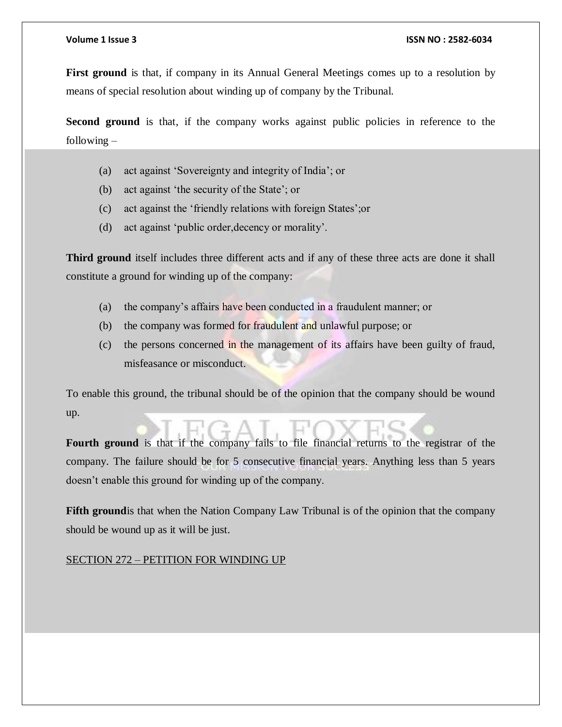**First ground** is that, if company in its Annual General Meetings comes up to a resolution by means of special resolution about winding up of company by the Tribunal.

**Second ground** is that, if the company works against public policies in reference to the following –

- (a) act against 'Sovereignty and integrity of India'; or
- (b) act against 'the security of the State'; or
- (c) act against the 'friendly relations with foreign States';or
- (d) act against 'public order,decency or morality'.

**Third ground** itself includes three different acts and if any of these three acts are done it shall constitute a ground for winding up of the company:

- (a) the company's affairs have been conducted in a fraudulent manner; or
- (b) the company was formed for fraudulent and unlawful purpose; or
- (c) the persons concerned in the management of its affairs have been guilty of fraud, misfeasance or misconduct.

To enable this ground, the tribunal should be of the opinion that the company should be wound up.

**Fourth ground** is that if the company fails to file financial returns to the registrar of the company. The failure should be for 5 consecutive financial years. Anything less than 5 years doesn't enable this ground for winding up of the company.

**Fifth ground** is that when the Nation Company Law Tribunal is of the opinion that the company should be wound up as it will be just.

#### SECTION 272 – PETITION FOR WINDING UP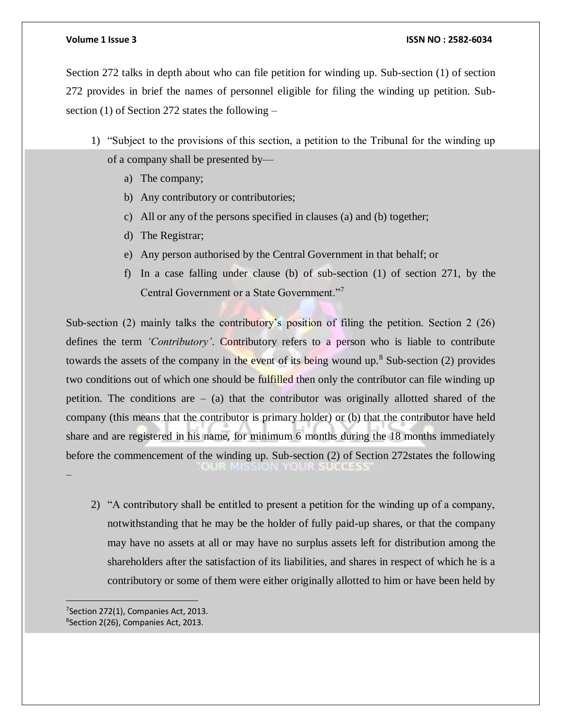Section 272 talks in depth about who can file petition for winding up. Sub-section (1) of section 272 provides in brief the names of personnel eligible for filing the winding up petition. Subsection (1) of Section 272 states the following –

- 1) "Subject to the provisions of this section, a petition to the Tribunal for the winding up of a company shall be presented by
	- a) The company;
	- b) Any contributory or contributories;
	- c) All or any of the persons specified in clauses (a) and (b) together;
	- d) The Registrar;
	- e) Any person authorised by the Central Government in that behalf; or
	- f) In a case falling under clause (b) of sub-section (1) of section 271, by the Central Government or a State Government."<sup>7</sup>

Sub-section (2) mainly talks the contributory's position of filing the petition. Section 2 (26) defines the term *'Contributory'*. Contributory refers to a person who is liable to contribute towards the assets of the company in the event of its being wound up.<sup>8</sup> Sub-section (2) provides two conditions out of which one should be fulfilled then only the contributor can file winding up petition. The conditions are  $-$  (a) that the contributor was originally allotted shared of the company (this means that the contributor is primary holder) or (b) that the contributor have held share and are registered in his name, for minimum 6 months during the 18 months immediately before the commencement of the winding up. Sub-section (2) of Section 272states the following  $0.017.1915$ –

2) "A contributory shall be entitled to present a petition for the winding up of a company, notwithstanding that he may be the holder of fully paid-up shares, or that the company may have no assets at all or may have no surplus assets left for distribution among the shareholders after the satisfaction of its liabilities, and shares in respect of which he is a contributory or some of them were either originally allotted to him or have been held by

<sup>7</sup>Section 272(1), Companies Act, 2013. 8 Section 2(26), Companies Act, 2013.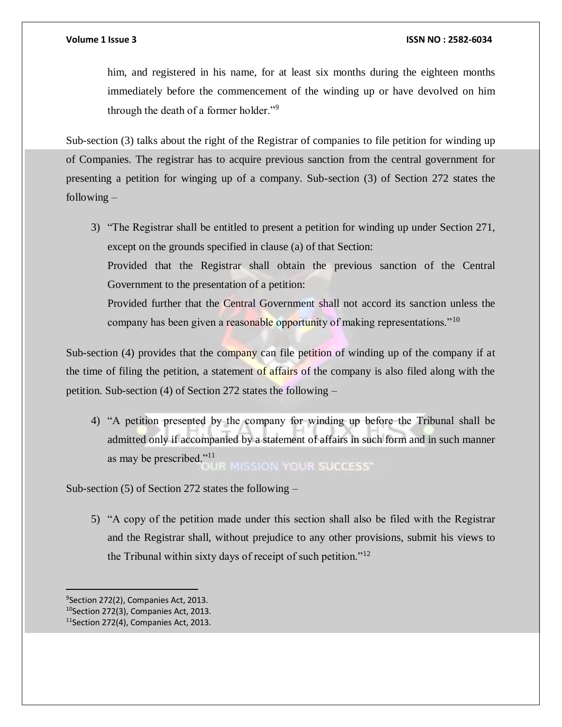him, and registered in his name, for at least six months during the eighteen months immediately before the commencement of the winding up or have devolved on him through the death of a former holder."<sup>9</sup>

Sub-section (3) talks about the right of the Registrar of companies to file petition for winding up of Companies. The registrar has to acquire previous sanction from the central government for presenting a petition for winging up of a company. Sub-section (3) of Section 272 states the following  $-$ 

3) "The Registrar shall be entitled to present a petition for winding up under Section 271, except on the grounds specified in clause (a) of that Section:

Provided that the Registrar shall obtain the previous sanction of the Central Government to the presentation of a petition:

Provided further that the Central Government shall not accord its sanction unless the company has been given a reasonable opportunity of making representations."<sup>10</sup>

Sub-section (4) provides that the company can file petition of winding up of the company if at the time of filing the petition, a statement of affairs of the company is also filed along with the petition. Sub-section (4) of Section 272 states the following –

4) "A petition presented by the company for winding up before the Tribunal shall be admitted only if accompanied by a statement of affairs in such form and in such manner as may be prescribed."<sup>11</sup> **MISSION YOUR SUCCESS®** 

Sub-section (5) of Section 272 states the following –

5) "A copy of the petition made under this section shall also be filed with the Registrar and the Registrar shall, without prejudice to any other provisions, submit his views to the Tribunal within sixty days of receipt of such petition."<sup>12</sup>

9 Section 272(2), Companies Act, 2013.

<sup>&</sup>lt;sup>10</sup>Section 272(3), Companies Act, 2013.

<sup>11</sup>Section 272(4), Companies Act, 2013.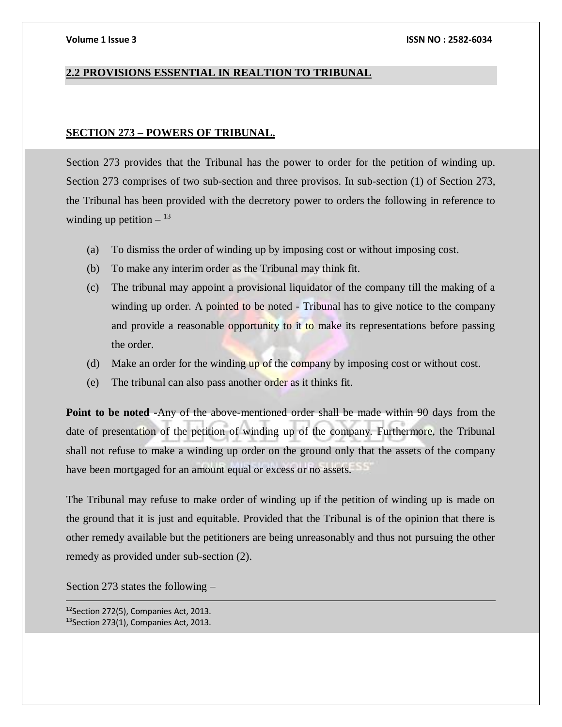#### **2.2 PROVISIONS ESSENTIAL IN REALTION TO TRIBUNAL**

#### **SECTION 273 – POWERS OF TRIBUNAL.**

Section 273 provides that the Tribunal has the power to order for the petition of winding up. Section 273 comprises of two sub-section and three provisos. In sub-section (1) of Section 273, the Tribunal has been provided with the decretory power to orders the following in reference to winding up petition  $^{13}$ 

- (a) To dismiss the order of winding up by imposing cost or without imposing cost.
- (b) To make any interim order as the Tribunal may think fit.
- (c) The tribunal may appoint a provisional liquidator of the company till the making of a winding up order. A pointed to be noted - Tribunal has to give notice to the company and provide a reasonable opportunity to it to make its representations before passing the order.
- (d) Make an order for the winding up of the company by imposing cost or without cost.
- (e) The tribunal can also pass another order as it thinks fit.

**Point to be noted -**Any of the above-mentioned order shall be made within 90 days from the date of presentation of the petition of winding up of the company. Furthermore, the Tribunal shall not refuse to make a winding up order on the ground only that the assets of the company have been mortgaged for an amount equal or excess or no assets.

The Tribunal may refuse to make order of winding up if the petition of winding up is made on the ground that it is just and equitable. Provided that the Tribunal is of the opinion that there is other remedy available but the petitioners are being unreasonably and thus not pursuing the other remedy as provided under sub-section (2).

Section 273 states the following –

<sup>12</sup>Section 272(5), Companies Act, 2013. 13Section 273(1), Companies Act, 2013.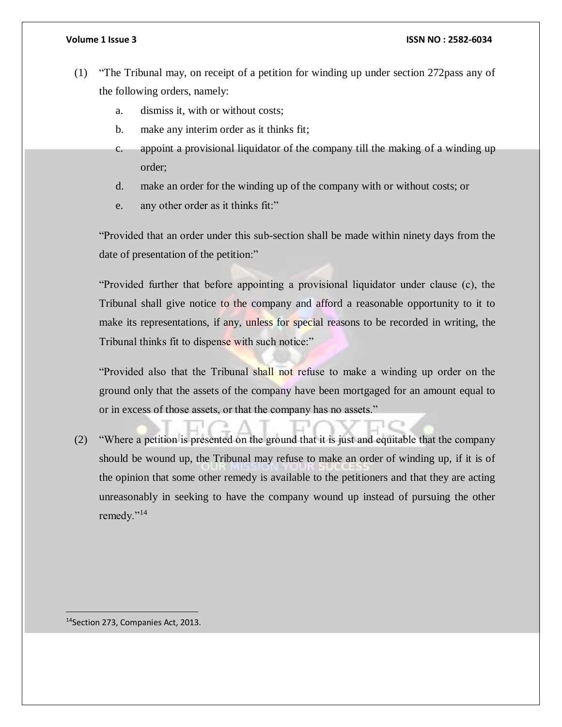- (1) "The Tribunal may, on receipt of a petition for winding up under section 272pass any of the following orders, namely:
	- a. dismiss it, with or without costs;
	- b. make any interim order as it thinks fit;
	- c. appoint a provisional liquidator of the company till the making of a winding up order;
	- d. make an order for the winding up of the company with or without costs; or
	- e. any other order as it thinks fit:"

"Provided that an order under this sub-section shall be made within ninety days from the date of presentation of the petition:"

"Provided further that before appointing a provisional liquidator under clause (c), the Tribunal shall give notice to the company and afford a reasonable opportunity to it to make its representations, if any, unless for special reasons to be recorded in writing, the Tribunal thinks fit to dispense with such notice:"

"Provided also that the Tribunal shall not refuse to make a winding up order on the ground only that the assets of the company have been mortgaged for an amount equal to or in excess of those assets, or that the company has no assets."

(2) "Where a petition is presented on the ground that it is just and equitable that the company should be wound up, the Tribunal may refuse to make an order of winding up, if it is of the opinion that some other remedy is available to the petitioners and that they are acting unreasonably in seeking to have the company wound up instead of pursuing the other remedy."<sup>14</sup>

14Section 273, Companies Act, 2013.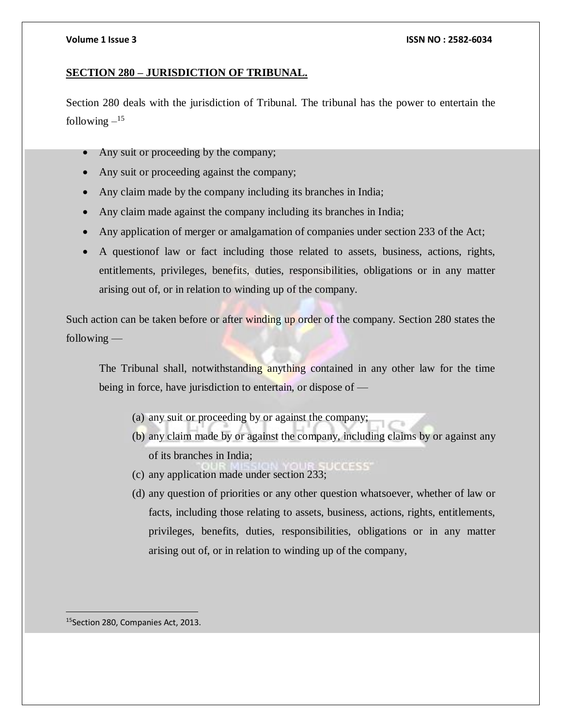#### **SECTION 280 – JURISDICTION OF TRIBUNAL.**

Section 280 deals with the jurisdiction of Tribunal. The tribunal has the power to entertain the following  $-$ <sup>15</sup>

- Any suit or proceeding by the company;
- Any suit or proceeding against the company;
- Any claim made by the company including its branches in India;
- Any claim made against the company including its branches in India;
- Any application of merger or amalgamation of companies under section 233 of the Act;
- A questionof law or fact including those related to assets, business, actions, rights, entitlements, privileges, benefits, duties, responsibilities, obligations or in any matter arising out of, or in relation to winding up of the company.

Such action can be taken before or after winding up order of the company. Section 280 states the following —

The Tribunal shall, notwithstanding anything contained in any other law for the time being in force, have jurisdiction to entertain, or dispose of —

- (a) any suit or proceeding by or against the company;
- (b) any claim made by or against the company, including claims by or against any of its branches in India;
- (c) any application made under section 233;
- (d) any question of priorities or any other question whatsoever, whether of law or facts, including those relating to assets, business, actions, rights, entitlements, privileges, benefits, duties, responsibilities, obligations or in any matter arising out of, or in relation to winding up of the company,

15Section 280, Companies Act, 2013.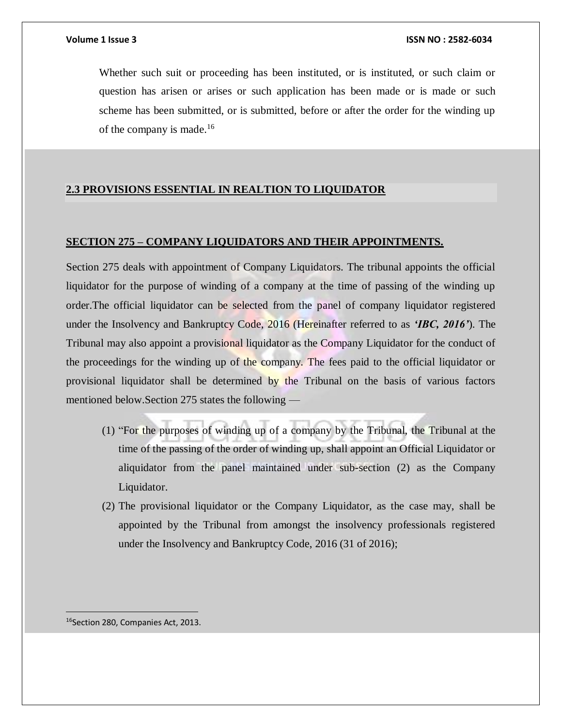Whether such suit or proceeding has been instituted, or is instituted, or such claim or question has arisen or arises or such application has been made or is made or such scheme has been submitted, or is submitted, before or after the order for the winding up of the company is made.<sup>16</sup>

### **2.3 PROVISIONS ESSENTIAL IN REALTION TO LIQUIDATOR**

# **SECTION 275 – COMPANY LIQUIDATORS AND THEIR APPOINTMENTS.**

Section 275 deals with appointment of Company Liquidators. The tribunal appoints the official liquidator for the purpose of winding of a company at the time of passing of the winding up order.The official liquidator can be selected from the panel of company liquidator registered under the Insolvency and Bankruptcy Code, 2016 (Hereinafter referred to as *'IBC, 2016'*). The Tribunal may also appoint a provisional liquidator as the Company Liquidator for the conduct of the proceedings for the winding up of the company. The fees paid to the official liquidator or provisional liquidator shall be determined by the Tribunal on the basis of various factors mentioned below.Section 275 states the following —

- (1) "For the purposes of winding up of a company by the Tribunal, the Tribunal at the time of the passing of the order of winding up, shall appoint an Official Liquidator or aliquidator from the panel maintained under sub-section (2) as the Company Liquidator.
- (2) The provisional liquidator or the Company Liquidator, as the case may, shall be appointed by the Tribunal from amongst the insolvency professionals registered under the Insolvency and Bankruptcy Code, 2016 (31 of 2016);

16Section 280, Companies Act, 2013.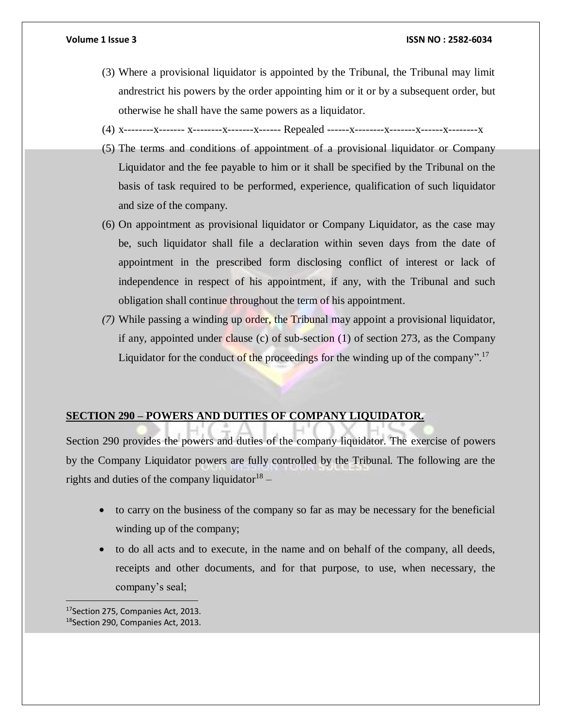- (3) Where a provisional liquidator is appointed by the Tribunal, the Tribunal may limit andrestrict his powers by the order appointing him or it or by a subsequent order, but otherwise he shall have the same powers as a liquidator.
- (4) x--------x------- x--------x-------x------ Repealed ------x--------x-------x------x--------x
- (5) The terms and conditions of appointment of a provisional liquidator or Company Liquidator and the fee payable to him or it shall be specified by the Tribunal on the basis of task required to be performed, experience, qualification of such liquidator and size of the company.
- (6) On appointment as provisional liquidator or Company Liquidator, as the case may be, such liquidator shall file a declaration within seven days from the date of appointment in the prescribed form disclosing conflict of interest or lack of independence in respect of his appointment, if any, with the Tribunal and such obligation shall continue throughout the term of his appointment.
- *(7)* While passing a winding up order, the Tribunal may appoint a provisional liquidator, if any, appointed under clause (c) of sub-section (1) of section 273, as the Company Liquidator for the conduct of the proceedings for the winding up of the company".<sup>17</sup>

#### **SECTION 290 – POWERS AND DUITIES OF COMPANY LIQUIDATOR.**

Section 290 provides the powers and duties of the company liquidator. The exercise of powers by the Company Liquidator powers are fully controlled by the Tribunal. The following are the rights and duties of the company liquidator  $18$  –

- to carry on the business of the company so far as may be necessary for the beneficial winding up of the company;
- to do all acts and to execute, in the name and on behalf of the company, all deeds, receipts and other documents, and for that purpose, to use, when necessary, the company's seal;

17 Section 275, Companies Act, 2013. 18Section 290, Companies Act, 2013.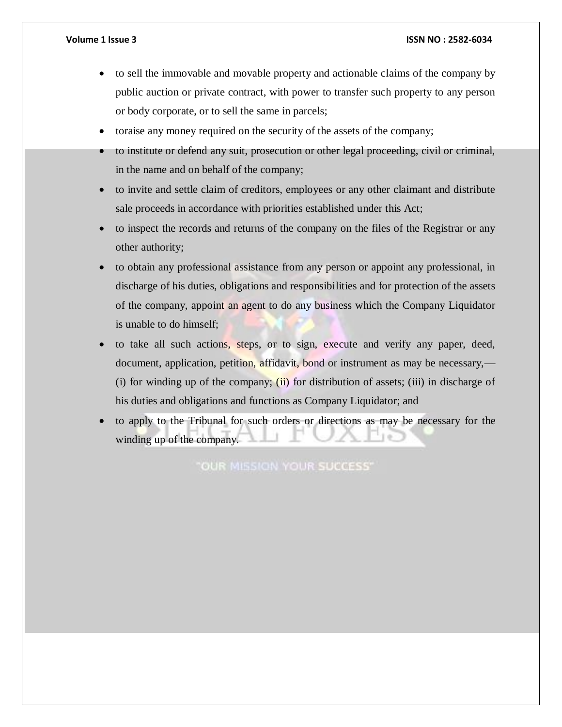- to sell the immovable and movable property and actionable claims of the company by public auction or private contract, with power to transfer such property to any person or body corporate, or to sell the same in parcels;
- toraise any money required on the security of the assets of the company;
- to institute or defend any suit, prosecution or other legal proceeding, civil or criminal, in the name and on behalf of the company;
- to invite and settle claim of creditors, employees or any other claimant and distribute sale proceeds in accordance with priorities established under this Act;
- to inspect the records and returns of the company on the files of the Registrar or any other authority;
- to obtain any professional assistance from any person or appoint any professional, in discharge of his duties, obligations and responsibilities and for protection of the assets of the company, appoint an agent to do any business which the Company Liquidator is unable to do himself;
- to take all such actions, steps, or to sign, execute and verify any paper, deed, document, application, petition, affidavit, bond or instrument as may be necessary,— (i) for winding up of the company; (ii) for distribution of assets; (iii) in discharge of his duties and obligations and functions as Company Liquidator; and
- to apply to the Tribunal for such orders or directions as may be necessary for the winding up of the company.

"OUR MISSION YOUR SUCCESS"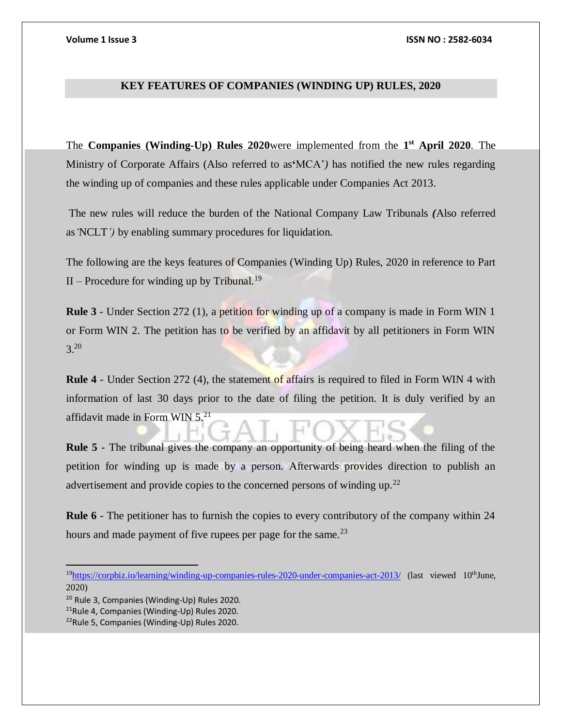### **KEY FEATURES OF COMPANIES (WINDING UP) RULES, 2020**

The **Companies (Winding-Up) Rules 2020**were implemented from the **1 st April 2020**. The Ministry of Corporate Affairs (Also referred to as**'**MCA'*)* has notified the new rules regarding the winding up of companies and these rules applicable under Companies Act 2013.

The new rules will reduce the burden of the National Company Law Tribunals *(*Also referred as*'*NCLT*')* by enabling summary procedures for liquidation.

The following are the keys features of Companies (Winding Up) Rules, 2020 in reference to Part II – Procedure for winding up by Tribunal.<sup>19</sup>

**Rule 3** - Under Section 272 (1), a petition for winding up of a company is made in Form WIN 1 or Form WIN 2. The petition has to be verified by an affidavit by all petitioners in Form WIN 3.<sup>20</sup>

**Rule 4** - Under Section 272 (4), the statement of affairs is required to filed in Form WIN 4 with information of last 30 days prior to the date of filing the petition. It is duly verified by an affidavit made in Form WIN  $5.^{21}$ 

**Rule 5** - The tribunal gives the company an opportunity of being heard when the filing of the petition for winding up is made by a person. Afterwards provides direction to publish an advertisement and provide copies to the concerned persons of winding up.<sup>22</sup>

**Rule 6** - The petitioner has to furnish the copies to every contributory of the company within 24 hours and made payment of five rupees per page for the same. $^{23}$ 

<sup>&</sup>lt;sup>19</sup><https://corpbiz.io/learning/winding-up-companies-rules-2020-under-companies-act-2013/> (last viewed 10<sup>th</sup>June, 2020)

<sup>20</sup> Rule 3, Companies (Winding-Up) Rules 2020.

<sup>21</sup>Rule 4, Companies (Winding-Up) Rules 2020.

<sup>22</sup>Rule 5, Companies (Winding-Up) Rules 2020.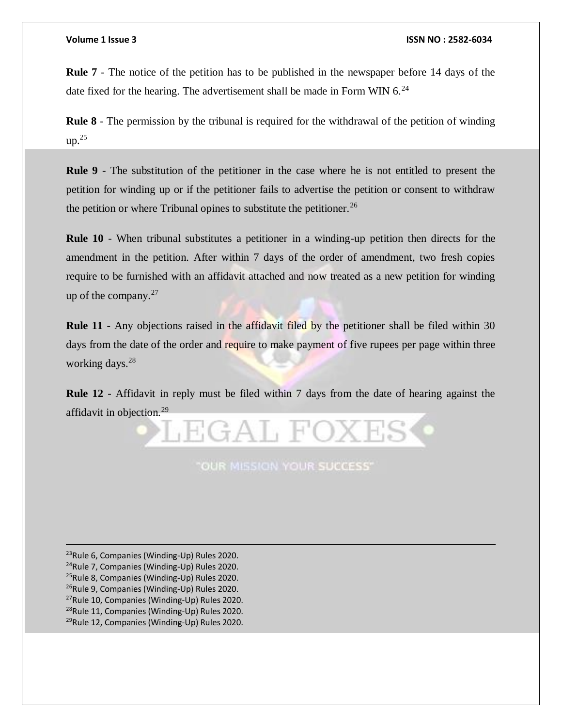**Rule 7** - The notice of the petition has to be published in the newspaper before 14 days of the date fixed for the hearing. The advertisement shall be made in Form WIN  $6.^{24}$ 

**Rule 8** - The permission by the tribunal is required for the withdrawal of the petition of winding  $up.^{25}$ 

**Rule 9** - The substitution of the petitioner in the case where he is not entitled to present the petition for winding up or if the petitioner fails to advertise the petition or consent to withdraw the petition or where Tribunal opines to substitute the petitioner.<sup>26</sup>

**Rule 10** - When tribunal substitutes a petitioner in a winding-up petition then directs for the amendment in the petition. After within 7 days of the order of amendment, two fresh copies require to be furnished with an affidavit attached and now treated as a new petition for winding up of the company. $27$ 

**Rule 11** - Any objections raised in the affidavit filed by the petitioner shall be filed within 30 days from the date of the order and require to make payment of five rupees per page within three working days.<sup>28</sup>

**Rule 12** - Affidavit in reply must be filed within 7 days from the date of hearing against the affidavit in objection.<sup>29</sup>



**"OUR MISSION YOUR SUCCESS"** 

Rule 6, Companies (Winding-Up) Rules 2020. Rule 7, Companies (Winding-Up) Rules 2020. Rule 8, Companies (Winding-Up) Rules 2020. <sup>26</sup>Rule 9, Companies (Winding-Up) Rules 2020. Rule 10, Companies (Winding-Up) Rules 2020. Rule 11, Companies (Winding-Up) Rules 2020. Rule 12, Companies (Winding-Up) Rules 2020.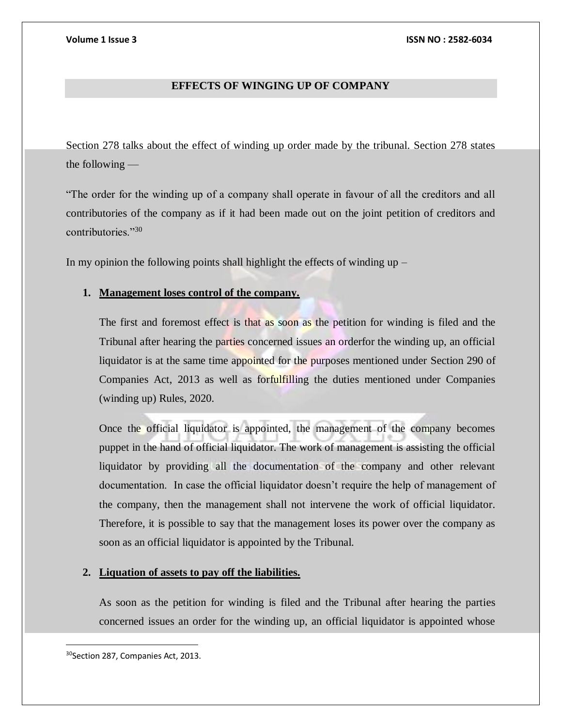# **EFFECTS OF WINGING UP OF COMPANY**

Section 278 talks about the effect of winding up order made by the tribunal. Section 278 states the following —

"The order for the winding up of a company shall operate in favour of all the creditors and all contributories of the company as if it had been made out on the joint petition of creditors and contributories."<sup>30</sup>

In my opinion the following points shall highlight the effects of winding up  $-$ 

# **1. Management loses control of the company.**

The first and foremost effect is that as soon as the petition for winding is filed and the Tribunal after hearing the parties concerned issues an orderfor the winding up, an official liquidator is at the same time appointed for the purposes mentioned under Section 290 of Companies Act, 2013 as well as forfulfilling the duties mentioned under Companies (winding up) Rules, 2020.

Once the official liquidator is appointed, the management of the company becomes puppet in the hand of official liquidator. The work of management is assisting the official liquidator by providing all the documentation of the company and other relevant documentation. In case the official liquidator doesn't require the help of management of the company, then the management shall not intervene the work of official liquidator. Therefore, it is possible to say that the management loses its power over the company as soon as an official liquidator is appointed by the Tribunal.

### **2. Liquation of assets to pay off the liabilities.**

As soon as the petition for winding is filed and the Tribunal after hearing the parties concerned issues an order for the winding up, an official liquidator is appointed whose

<sup>&</sup>lt;sup>30</sup>Section 287, Companies Act, 2013.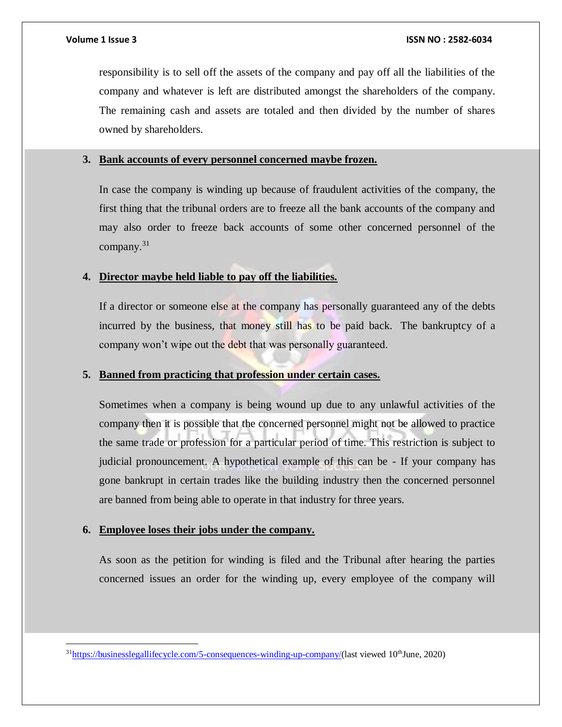responsibility is to sell off the assets of the company and pay off all the liabilities of the company and whatever is left are distributed amongst the shareholders of the company. The remaining cash and assets are totaled and then divided by the number of shares owned by shareholders.

## **3. Bank accounts of every personnel concerned maybe frozen.**

In case the company is winding up because of fraudulent activities of the company, the first thing that the tribunal orders are to freeze all the bank accounts of the company and may also order to freeze back accounts of some other concerned personnel of the company.<sup>31</sup>

# **4. Director maybe held liable to pay off the liabilities.**

If a director or someone else at the company has personally guaranteed any of the debts incurred by the business, that money still has to be paid back. The bankruptcy of a company won't wipe out the debt that was personally guaranteed.

### **5. Banned from practicing that profession under certain cases.**

Sometimes when a company is being wound up due to any unlawful activities of the company then it is possible that the concerned personnel might not be allowed to practice the same trade or profession for a particular period of time. This restriction is subject to judicial pronouncement. A hypothetical example of this can be - If your company has gone bankrupt in certain trades like the building industry then the concerned personnel are banned from being able to operate in that industry for three years.

### **6. Employee loses their jobs under the company.**

 $\overline{\phantom{a}}$ 

As soon as the petition for winding is filed and the Tribunal after hearing the parties concerned issues an order for the winding up, every employee of the company will

 $31$ [https://businesslegallifecycle.com/5-consequences-winding-up-company/\(](https://businesslegallifecycle.com/5-consequences-winding-up-company/)last viewed  $10^{th}$ June, 2020)